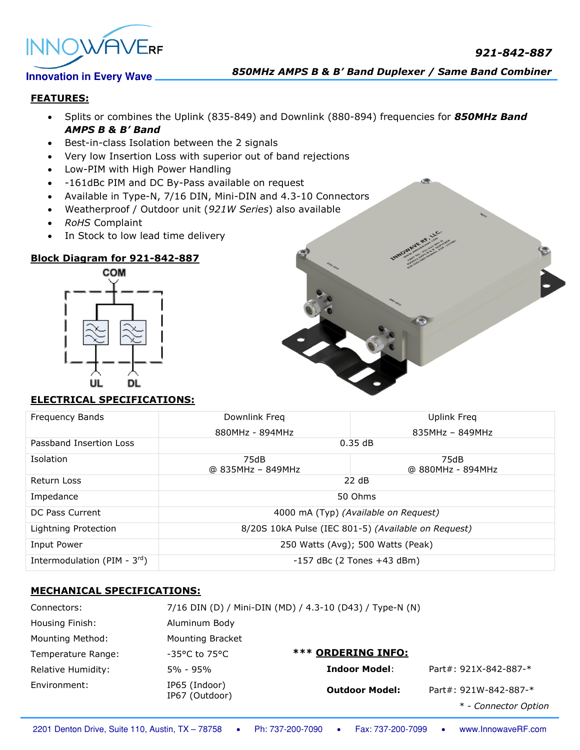



*850MHz AMPS B & B' Band Duplexer / Same Band Combiner*

## **FEATURES:**

- Splits or combines the Uplink (835-849) and Downlink (880-894) frequencies for *850MHz Band AMPS B & B' Band*
- Best-in-class Isolation between the 2 signals
- Very low Insertion Loss with superior out of band rejections
- Low-PIM with High Power Handling
- -161dBc PIM and DC By-Pass available on request
- Available in Type-N, 7/16 DIN, Mini-DIN and 4.3-10 Connectors
- Weatherproof / Outdoor unit (*921W Series*) also available
- *RoHS* Complaint
- In Stock to low lead time delivery

# **Block Diagram for 921-842-887**



# **ELECTRICAL SPECIFICATIONS:**

| <b>Frequency Bands</b>            | Downlink Freq                                       | Uplink Freg               |  |
|-----------------------------------|-----------------------------------------------------|---------------------------|--|
|                                   | 880MHz - 894MHz                                     | $835MHz - 849MHz$         |  |
| Passband Insertion Loss           | 0.35dB                                              |                           |  |
| <b>Isolation</b>                  | 75dB<br>@ 835MHz - 849MHz                           | 75dB<br>@ 880MHz - 894MHz |  |
| Return Loss                       | 22 dB                                               |                           |  |
| Impedance                         | 50 Ohms                                             |                           |  |
| DC Pass Current                   | 4000 mA (Typ) (Available on Request)                |                           |  |
| Lightning Protection              | 8/20S 10kA Pulse (IEC 801-5) (Available on Request) |                           |  |
| Input Power                       | 250 Watts (Avg); 500 Watts (Peak)                   |                           |  |
| Intermodulation (PIM - $3^{rd}$ ) | $-157$ dBc (2 Tones $+43$ dBm)                      |                           |  |

# **MECHANICAL SPECIFICATIONS:**

| Connectors:        |                                    | 7/16 DIN (D) / Mini-DIN (MD) / 4.3-10 (D43) / Type-N (N) |                       |
|--------------------|------------------------------------|----------------------------------------------------------|-----------------------|
| Housing Finish:    | Aluminum Body                      |                                                          |                       |
| Mounting Method:   | <b>Mounting Bracket</b>            |                                                          |                       |
| Temperature Range: | $-35^{\circ}$ C to 75 $^{\circ}$ C | <b>*** ORDERING INFO:</b>                                |                       |
| Relative Humidity: | 5% - 95%                           | <b>Indoor Model:</b>                                     | Part#: 921X-842-887-* |
| Environment:       | IP65 (Indoor)<br>IP67 (Outdoor)    | <b>Outdoor Model:</b>                                    | Part#: 921W-842-887-* |
|                    |                                    |                                                          | * - Connector Option  |